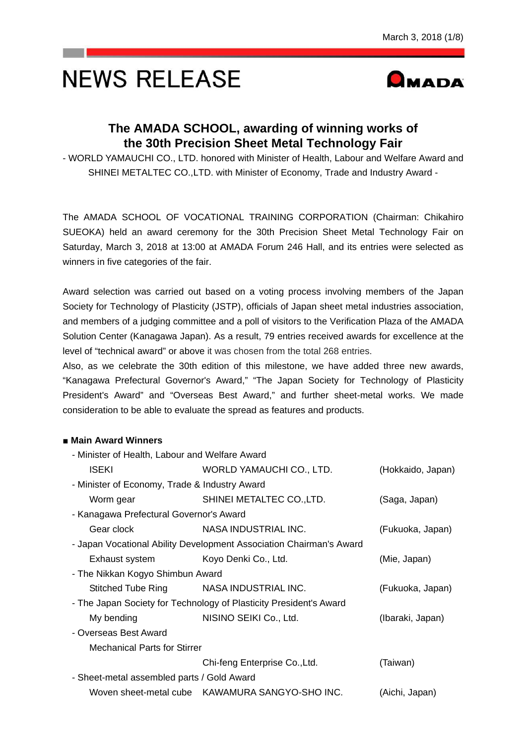# **NEWS RELEASE**



# **The AMADA SCHOOL, awarding of winning works of the 30th Precision Sheet Metal Technology Fair**

- WORLD YAMAUCHI CO., LTD. honored with Minister of Health, Labour and Welfare Award and SHINEI METALTEC CO.,LTD. with Minister of Economy, Trade and Industry Award -

The AMADA SCHOOL OF VOCATIONAL TRAINING CORPORATION (Chairman: Chikahiro SUEOKA) held an award ceremony for the 30th Precision Sheet Metal Technology Fair on Saturday, March 3, 2018 at 13:00 at AMADA Forum 246 Hall, and its entries were selected as winners in five categories of the fair.

Award selection was carried out based on a voting process involving members of the Japan Society for Technology of Plasticity (JSTP), officials of Japan sheet metal industries association, and members of a judging committee and a poll of visitors to the Verification Plaza of the AMADA Solution Center (Kanagawa Japan). As a result, 79 entries received awards for excellence at the level of "technical award" or above it was chosen from the total 268 entries.

Also, as we celebrate the 30th edition of this milestone, we have added three new awards, "Kanagawa Prefectural Governor's Award," "The Japan Society for Technology of Plasticity President's Award" and "Overseas Best Award," and further sheet-metal works. We made consideration to be able to evaluate the spread as features and products.

# ■ **Main Award Winners**

| - Minister of Health, Labour and Welfare Award |                                                                     |                   |  |  |  |  |
|------------------------------------------------|---------------------------------------------------------------------|-------------------|--|--|--|--|
| <b>ISEKI</b>                                   | WORLD YAMAUCHI CO., LTD.                                            | (Hokkaido, Japan) |  |  |  |  |
| - Minister of Economy, Trade & Industry Award  |                                                                     |                   |  |  |  |  |
| Worm gear                                      | SHINEI METALTEC CO., LTD.                                           | (Saga, Japan)     |  |  |  |  |
| - Kanagawa Prefectural Governor's Award        |                                                                     |                   |  |  |  |  |
| Gear clock                                     | NASA INDUSTRIAL INC.                                                | (Fukuoka, Japan)  |  |  |  |  |
|                                                | - Japan Vocational Ability Development Association Chairman's Award |                   |  |  |  |  |
| Exhaust system Koyo Denki Co., Ltd.            |                                                                     | (Mie, Japan)      |  |  |  |  |
|                                                | - The Nikkan Kogyo Shimbun Award                                    |                   |  |  |  |  |
|                                                | Stitched Tube Ring NASA INDUSTRIAL INC.                             | (Fukuoka, Japan)  |  |  |  |  |
|                                                | - The Japan Society for Technology of Plasticity President's Award  |                   |  |  |  |  |
| My bending                                     | NISINO SEIKI Co., Ltd.                                              | (Ibaraki, Japan)  |  |  |  |  |
| - Overseas Best Award                          |                                                                     |                   |  |  |  |  |
| <b>Mechanical Parts for Stirrer</b>            |                                                                     |                   |  |  |  |  |
|                                                | Chi-feng Enterprise Co., Ltd.                                       | (Taiwan)          |  |  |  |  |
| - Sheet-metal assembled parts / Gold Award     |                                                                     |                   |  |  |  |  |
|                                                | Woven sheet-metal cube KAWAMURA SANGYO-SHO INC.                     | (Aichi, Japan)    |  |  |  |  |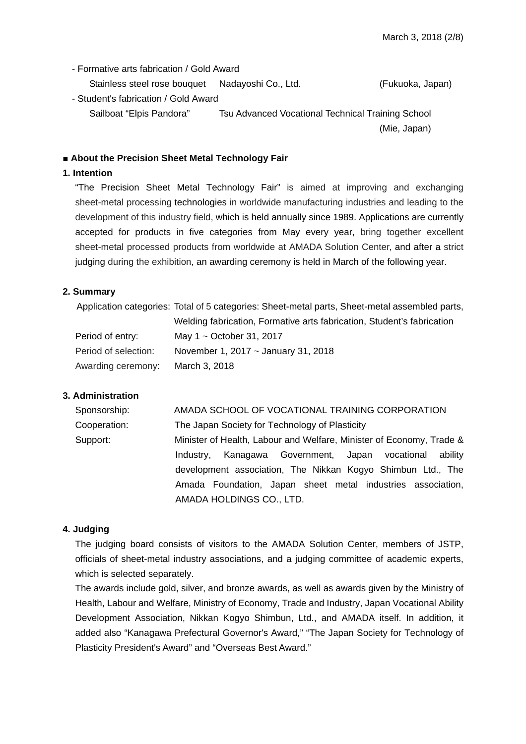- Formative arts fabrication / Gold Award

Stainless steel rose bouquet Nadayoshi Co., Ltd. (Fukuoka, Japan)

- Student's fabrication / Gold Award Sailboat "Elpis Pandora" Tsu Advanced Vocational Technical Training School (Mie, Japan)

■ About the Precision Sheet Metal Technology Fair

#### **1. Intention**

"The Precision Sheet Metal Technology Fair" is aimed at improving and exchanging sheet-metal processing technologies in worldwide manufacturing industries and leading to the development of this industry field, which is held annually since 1989. Applications are currently accepted for products in five categories from May every year, bring together excellent sheet-metal processed products from worldwide at AMADA Solution Center, and after a strict judging during the exhibition, an awarding ceremony is held in March of the following year.

#### **2. Summary**

| Application categories: Total of 5 categories: Sheet-metal parts, Sheet-metal assembled parts, |                                                                        |  |  |
|------------------------------------------------------------------------------------------------|------------------------------------------------------------------------|--|--|
|                                                                                                | Welding fabrication, Formative arts fabrication, Student's fabrication |  |  |
| Period of entry:                                                                               | May $1 \sim$ October 31, 2017                                          |  |  |
| Period of selection:                                                                           | November 1, 2017 ~ January 31, 2018                                    |  |  |
| Awarding ceremony:                                                                             | March 3, 2018                                                          |  |  |

#### **3. Administration**

| Sponsorship: | AMADA SCHOOL OF VOCATIONAL TRAINING CORPORATION                      |  |  |
|--------------|----------------------------------------------------------------------|--|--|
| Cooperation: | The Japan Society for Technology of Plasticity                       |  |  |
| Support:     | Minister of Health, Labour and Welfare, Minister of Economy, Trade & |  |  |
|              | Industry, Kanagawa Government, Japan vocational<br>ability           |  |  |
|              | development association, The Nikkan Kogyo Shimbun Ltd., The          |  |  |
|              | Amada Foundation, Japan sheet metal industries association,          |  |  |
|              | AMADA HOLDINGS CO., LTD.                                             |  |  |

#### **4. Judging**

The judging board consists of visitors to the AMADA Solution Center, members of JSTP, officials of sheet-metal industry associations, and a judging committee of academic experts, which is selected separately.

The awards include gold, silver, and bronze awards, as well as awards given by the Ministry of Health, Labour and Welfare, Ministry of Economy, Trade and Industry, Japan Vocational Ability Development Association, Nikkan Kogyo Shimbun, Ltd., and AMADA itself. In addition, it added also "Kanagawa Prefectural Governor's Award," "The Japan Society for Technology of Plasticity President's Award" and "Overseas Best Award."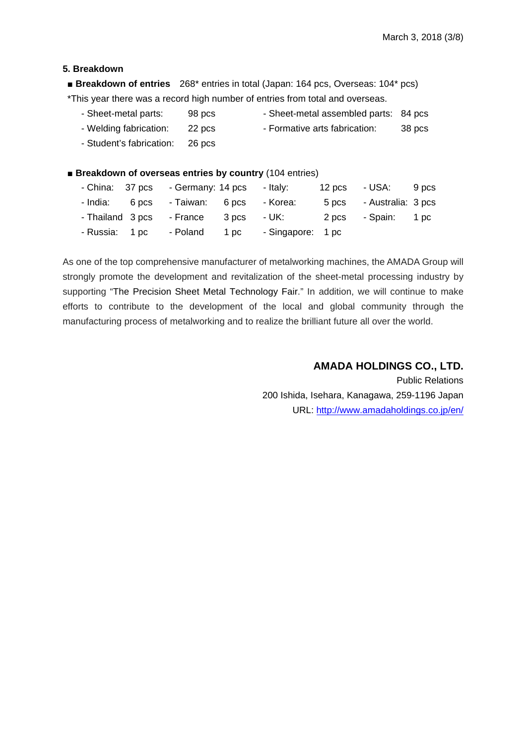#### **5. Breakdown**

■ **Breakdown of entries** 268<sup>\*</sup> entries in total (Japan: 164 pcs, Overseas: 104<sup>\*</sup> pcs) \*This year there was a record high number of entries from total and overseas.

| - Sheet-metal parts:     | 98 pcs | - Sheet-metal assembled parts: 84 pcs |        |
|--------------------------|--------|---------------------------------------|--------|
| - Welding fabrication:   | 22 pcs | - Formative arts fabrication:         | 38 pcs |
| - Student's fabrication: | 26 pcs |                                       |        |

■ **Breakdown of overseas entries by country** (104 entries)

|  | - China: 37 pcs - Germany: 14 pcs - Italy: |                                                           | 12 pcs - USA: 9 pcs      |  |
|--|--------------------------------------------|-----------------------------------------------------------|--------------------------|--|
|  | - India: 6 pcs - Taiwan: 6 pcs - Korea:    |                                                           | 5 pcs - Australia: 3 pcs |  |
|  |                                            | - Thailand 3 pcs - France 3 pcs - UK: 2 pcs - Spain: 1 pc |                          |  |
|  |                                            | - Russia: 1 pc - Poland 1 pc - Singapore: 1 pc            |                          |  |

As one of the top comprehensive manufacturer of metalworking machines, the AMADA Group will strongly promote the development and revitalization of the sheet-metal processing industry by supporting "The Precision Sheet Metal Technology Fair." In addition, we will continue to make efforts to contribute to the development of the local and global community through the manufacturing process of metalworking and to realize the brilliant future all over the world.

# **AMADA HOLDINGS CO., LTD.**

Public Relations 200 Ishida, Isehara, Kanagawa, 259-1196 Japan URL: http://www.amadaholdings.co.jp/en/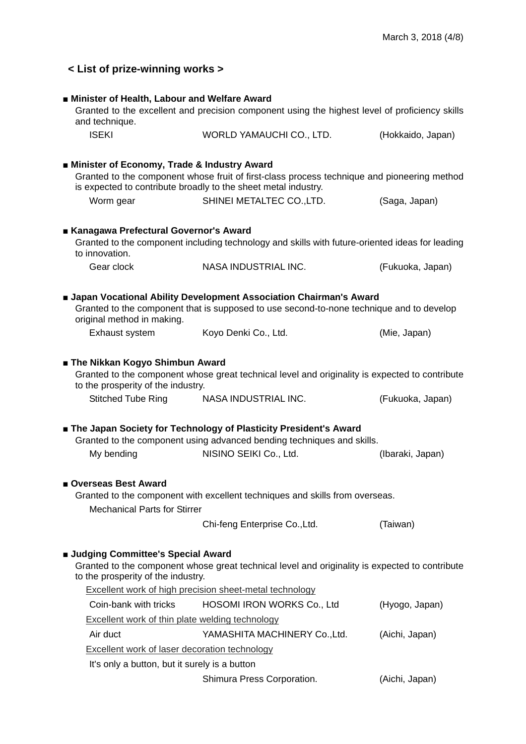| < List of prize-winning works >                                                                                                                                                                                                                    |                                                                                                                                                               |                   |  |  |  |
|----------------------------------------------------------------------------------------------------------------------------------------------------------------------------------------------------------------------------------------------------|---------------------------------------------------------------------------------------------------------------------------------------------------------------|-------------------|--|--|--|
| Minister of Health, Labour and Welfare Award<br>Granted to the excellent and precision component using the highest level of proficiency skills<br>and technique.                                                                                   |                                                                                                                                                               |                   |  |  |  |
| <b>ISEKI</b>                                                                                                                                                                                                                                       | WORLD YAMAUCHI CO., LTD.                                                                                                                                      | (Hokkaido, Japan) |  |  |  |
| Minister of Economy, Trade & Industry Award<br>Granted to the component whose fruit of first-class process technique and pioneering method<br>is expected to contribute broadly to the sheet metal industry.                                       |                                                                                                                                                               |                   |  |  |  |
| Worm gear                                                                                                                                                                                                                                          | SHINEI METALTEC CO., LTD.                                                                                                                                     | (Saga, Japan)     |  |  |  |
| ■ Kanagawa Prefectural Governor's Award                                                                                                                                                                                                            | Granted to the component including technology and skills with future-oriented ideas for leading                                                               |                   |  |  |  |
| to innovation.<br>Gear clock                                                                                                                                                                                                                       | NASA INDUSTRIAL INC.                                                                                                                                          | (Fukuoka, Japan)  |  |  |  |
| original method in making.                                                                                                                                                                                                                         | Japan Vocational Ability Development Association Chairman's Award<br>Granted to the component that is supposed to use second-to-none technique and to develop |                   |  |  |  |
| Exhaust system                                                                                                                                                                                                                                     | Koyo Denki Co., Ltd.                                                                                                                                          | (Mie, Japan)      |  |  |  |
| ■ The Nikkan Kogyo Shimbun Award<br>Granted to the component whose great technical level and originality is expected to contribute<br>to the prosperity of the industry.                                                                           |                                                                                                                                                               |                   |  |  |  |
| <b>Stitched Tube Ring</b>                                                                                                                                                                                                                          | NASA INDUSTRIAL INC.                                                                                                                                          | (Fukuoka, Japan)  |  |  |  |
|                                                                                                                                                                                                                                                    | The Japan Society for Technology of Plasticity President's Award<br>Granted to the component using advanced bending techniques and skills.                    |                   |  |  |  |
| My bending                                                                                                                                                                                                                                         | NISINO SEIKI Co., Ltd.                                                                                                                                        | (Ibaraki, Japan)  |  |  |  |
| Overseas Best Award<br>Granted to the component with excellent techniques and skills from overseas.<br><b>Mechanical Parts for Stirrer</b>                                                                                                         |                                                                                                                                                               |                   |  |  |  |
|                                                                                                                                                                                                                                                    | Chi-feng Enterprise Co., Ltd.                                                                                                                                 | (Taiwan)          |  |  |  |
| <b>Judging Committee's Special Award</b><br>Granted to the component whose great technical level and originality is expected to contribute<br>to the prosperity of the industry.<br><b>Excellent work of high precision sheet-metal technology</b> |                                                                                                                                                               |                   |  |  |  |
| Coin-bank with tricks                                                                                                                                                                                                                              | <b>HOSOMI IRON WORKS Co., Ltd</b>                                                                                                                             | (Hyogo, Japan)    |  |  |  |
| Excellent work of thin plate welding technology                                                                                                                                                                                                    |                                                                                                                                                               |                   |  |  |  |
| Air duct                                                                                                                                                                                                                                           | YAMASHITA MACHINERY Co., Ltd.                                                                                                                                 | (Aichi, Japan)    |  |  |  |
|                                                                                                                                                                                                                                                    | Excellent work of laser decoration technology<br>It's only a button, but it surely is a button                                                                |                   |  |  |  |
|                                                                                                                                                                                                                                                    | Shimura Press Corporation.                                                                                                                                    | (Aichi, Japan)    |  |  |  |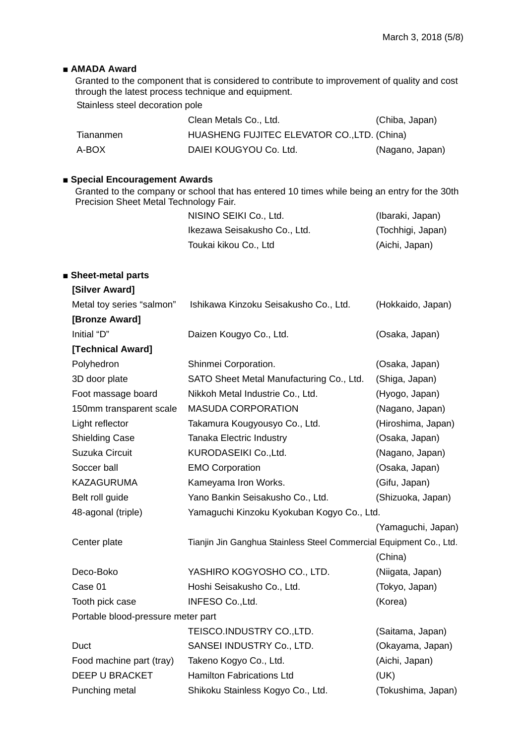# ■ **AMADA** Award

Granted to the component that is considered to contribute to improvement of quality and cost through the latest process technique and equipment. Stainless steel decoration pole

| Clean Metals Co., Ltd.                                   |                 |
|----------------------------------------------------------|-----------------|
|                                                          | (Chiba, Japan)  |
| HUASHENG FUJITEC ELEVATOR CO., LTD. (China)<br>Tiananmen |                 |
| DAIEI KOUGYOU Co. Ltd.<br>A-BOX                          | (Nagano, Japan) |

## ■ **Special Encouragement Awards**

Granted to the company or school that has entered 10 times while being an entry for the 30th Precision Sheet Metal Technology Fair.

| NISINO SEIKI Co., Ltd.       | (Ibaraki, Japan)  |
|------------------------------|-------------------|
| Ikezawa Seisakusho Co., Ltd. | (Tochhigi, Japan) |
| Toukai kikou Co., Ltd        | (Aichi, Japan)    |

# ■ **Sheet-metal parts**

| [Silver Award]                     |                                                                    |                    |
|------------------------------------|--------------------------------------------------------------------|--------------------|
| Metal toy series "salmon"          | Ishikawa Kinzoku Seisakusho Co., Ltd.                              | (Hokkaido, Japan)  |
| [Bronze Award]                     |                                                                    |                    |
| Initial "D"                        | Daizen Kougyo Co., Ltd.                                            | (Osaka, Japan)     |
| [Technical Award]                  |                                                                    |                    |
| Polyhedron                         | Shinmei Corporation.                                               | (Osaka, Japan)     |
| 3D door plate                      | SATO Sheet Metal Manufacturing Co., Ltd.                           | (Shiga, Japan)     |
| Foot massage board                 | Nikkoh Metal Industrie Co., Ltd.                                   | (Hyogo, Japan)     |
| 150mm transparent scale            | <b>MASUDA CORPORATION</b>                                          | (Nagano, Japan)    |
| Light reflector                    | Takamura Kougyousyo Co., Ltd.                                      | (Hiroshima, Japan) |
| <b>Shielding Case</b>              | <b>Tanaka Electric Industry</b>                                    | (Osaka, Japan)     |
| Suzuka Circuit                     | KURODASEIKI Co., Ltd.                                              | (Nagano, Japan)    |
| Soccer ball                        | <b>EMO Corporation</b>                                             | (Osaka, Japan)     |
| <b>KAZAGURUMA</b>                  | Kameyama Iron Works.                                               | (Gifu, Japan)      |
| Belt roll guide                    | Yano Bankin Seisakusho Co., Ltd.                                   | (Shizuoka, Japan)  |
| 48-agonal (triple)                 | Yamaguchi Kinzoku Kyokuban Kogyo Co., Ltd.                         |                    |
|                                    |                                                                    | (Yamaguchi, Japan) |
| Center plate                       | Tianjin Jin Ganghua Stainless Steel Commercial Equipment Co., Ltd. |                    |
|                                    |                                                                    | (China)            |
| Deco-Boko                          | YASHIRO KOGYOSHO CO., LTD.                                         | (Niigata, Japan)   |
| Case 01                            | Hoshi Seisakusho Co., Ltd.                                         | (Tokyo, Japan)     |
| Tooth pick case                    | INFESO Co., Ltd.                                                   | (Korea)            |
| Portable blood-pressure meter part |                                                                    |                    |
|                                    | TEISCO.INDUSTRY CO., LTD.                                          | (Saitama, Japan)   |
| Duct                               | SANSEI INDUSTRY Co., LTD.                                          | (Okayama, Japan)   |
| Food machine part (tray)           | Takeno Kogyo Co., Ltd.                                             | (Aichi, Japan)     |
| <b>DEEP U BRACKET</b>              | <b>Hamilton Fabrications Ltd</b>                                   | (UK)               |
| Punching metal                     | Shikoku Stainless Kogyo Co., Ltd.                                  | (Tokushima, Japan) |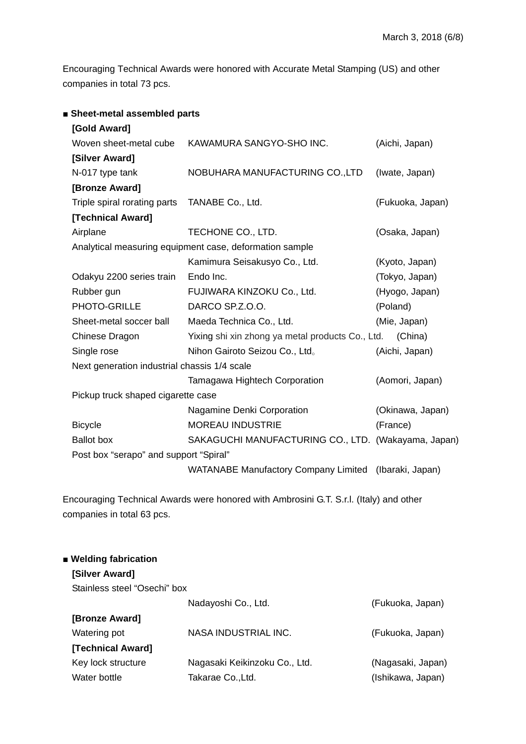Encouraging Technical Awards were honored with Accurate Metal Stamping (US) and other companies in total 73 pcs.

| ■ Sheet-metal assembled parts                |                                                         |                  |  |  |  |
|----------------------------------------------|---------------------------------------------------------|------------------|--|--|--|
| [Gold Award]                                 |                                                         |                  |  |  |  |
| Woven sheet-metal cube                       | KAWAMURA SANGYO-SHO INC.                                | (Aichi, Japan)   |  |  |  |
| [Silver Award]                               |                                                         |                  |  |  |  |
| N-017 type tank                              | NOBUHARA MANUFACTURING CO., LTD                         | (Iwate, Japan)   |  |  |  |
| [Bronze Award]                               |                                                         |                  |  |  |  |
| Triple spiral rorating parts                 | TANABE Co., Ltd.                                        | (Fukuoka, Japan) |  |  |  |
| [Technical Award]                            |                                                         |                  |  |  |  |
| Airplane                                     | TECHONE CO., LTD.                                       | (Osaka, Japan)   |  |  |  |
|                                              | Analytical measuring equipment case, deformation sample |                  |  |  |  |
|                                              | Kamimura Seisakusyo Co., Ltd.                           | (Kyoto, Japan)   |  |  |  |
| Odakyu 2200 series train                     | Endo Inc.                                               | (Tokyo, Japan)   |  |  |  |
| Rubber gun                                   | FUJIWARA KINZOKU Co., Ltd.                              | (Hyogo, Japan)   |  |  |  |
| PHOTO-GRILLE                                 | DARCO SP.Z.O.O.                                         | (Poland)         |  |  |  |
| Sheet-metal soccer ball                      | Maeda Technica Co., Ltd.                                | (Mie, Japan)     |  |  |  |
| Chinese Dragon                               | Yixing shi xin zhong ya metal products Co., Ltd.        | (China)          |  |  |  |
| Single rose                                  | Nihon Gairoto Seizou Co., Ltd.                          | (Aichi, Japan)   |  |  |  |
| Next generation industrial chassis 1/4 scale |                                                         |                  |  |  |  |
|                                              | Tamagawa Hightech Corporation                           | (Aomori, Japan)  |  |  |  |
| Pickup truck shaped cigarette case           |                                                         |                  |  |  |  |
|                                              | Nagamine Denki Corporation                              | (Okinawa, Japan) |  |  |  |
| <b>Bicycle</b>                               | <b>MOREAU INDUSTRIE</b>                                 | (France)         |  |  |  |
| <b>Ballot</b> box                            | SAKAGUCHI MANUFACTURING CO., LTD. (Wakayama, Japan)     |                  |  |  |  |
| Post box "serapo" and support "Spiral"       |                                                         |                  |  |  |  |
|                                              | WATANABE Manufactory Company Limited (Ibaraki, Japan)   |                  |  |  |  |
|                                              |                                                         |                  |  |  |  |

Encouraging Technical Awards were honored with Ambrosini G.T. S.r.l. (Italy) and other companies in total 63 pcs.

| ■ Welding fabrication        |                               |                   |
|------------------------------|-------------------------------|-------------------|
| [Silver Award]               |                               |                   |
| Stainless steel "Osechi" box |                               |                   |
|                              | Nadayoshi Co., Ltd.           | (Fukuoka, Japan)  |
| [Bronze Award]               |                               |                   |
| Watering pot                 | NASA INDUSTRIAL INC.          | (Fukuoka, Japan)  |
| [Technical Award]            |                               |                   |
| Key lock structure           | Nagasaki Keikinzoku Co., Ltd. | (Nagasaki, Japan) |
| Water bottle                 | Takarae Co., Ltd.             | (Ishikawa, Japan) |
|                              |                               |                   |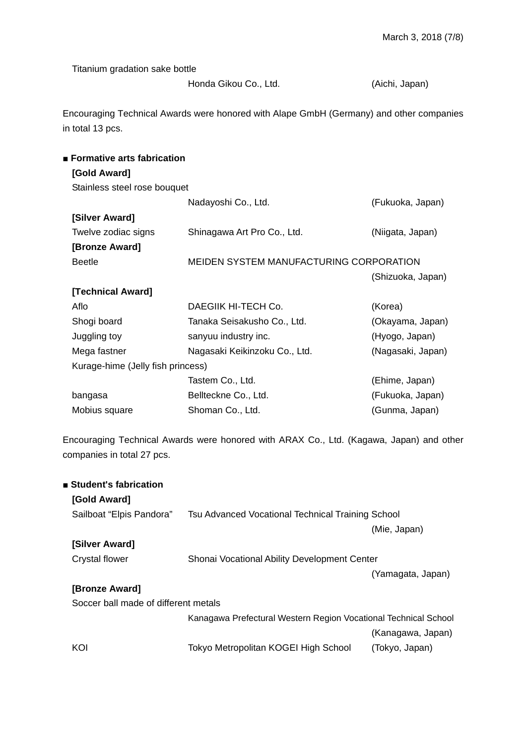Titanium gradation sake bottle

Honda Gikou Co., Ltd. (Aichi, Japan)

Encouraging Technical Awards were honored with Alape GmbH (Germany) and other companies in total 13 pcs.

| ■ Formative arts fabrication      |                                         |                   |  |  |  |
|-----------------------------------|-----------------------------------------|-------------------|--|--|--|
| [Gold Award]                      |                                         |                   |  |  |  |
| Stainless steel rose bouquet      |                                         |                   |  |  |  |
|                                   | Nadayoshi Co., Ltd.                     | (Fukuoka, Japan)  |  |  |  |
| [Silver Award]                    |                                         |                   |  |  |  |
| Twelve zodiac signs               | Shinagawa Art Pro Co., Ltd.             | (Niigata, Japan)  |  |  |  |
| [Bronze Award]                    |                                         |                   |  |  |  |
| <b>Beetle</b>                     | MEIDEN SYSTEM MANUFACTURING CORPORATION |                   |  |  |  |
|                                   |                                         | (Shizuoka, Japan) |  |  |  |
| [Technical Award]                 |                                         |                   |  |  |  |
| Aflo                              | DAEGIIK HI-TECH Co.                     | (Korea)           |  |  |  |
| Shogi board                       | Tanaka Seisakusho Co., Ltd.             | (Okayama, Japan)  |  |  |  |
| Juggling toy                      | sanyuu industry inc.                    | (Hyogo, Japan)    |  |  |  |
| Mega fastner                      | Nagasaki Keikinzoku Co., Ltd.           | (Nagasaki, Japan) |  |  |  |
| Kurage-hime (Jelly fish princess) |                                         |                   |  |  |  |
|                                   | Tastem Co., Ltd.                        | (Ehime, Japan)    |  |  |  |
| bangasa                           | Bellteckne Co., Ltd.                    | (Fukuoka, Japan)  |  |  |  |
| Mobius square                     | Shoman Co., Ltd.                        | (Gunma, Japan)    |  |  |  |
|                                   |                                         |                   |  |  |  |

Encouraging Technical Awards were honored with ARAX Co., Ltd. (Kagawa, Japan) and other companies in total 27 pcs.

| ■ Student's fabrication              |                                                                 |                   |
|--------------------------------------|-----------------------------------------------------------------|-------------------|
| [Gold Award]                         |                                                                 |                   |
| Sailboat "Elpis Pandora"             | Tsu Advanced Vocational Technical Training School               |                   |
|                                      |                                                                 | (Mie, Japan)      |
| [Silver Award]                       |                                                                 |                   |
| Crystal flower                       | Shonai Vocational Ability Development Center                    |                   |
|                                      |                                                                 | (Yamagata, Japan) |
| [Bronze Award]                       |                                                                 |                   |
| Soccer ball made of different metals |                                                                 |                   |
|                                      | Kanagawa Prefectural Western Region Vocational Technical School |                   |
|                                      |                                                                 | (Kanagawa, Japan) |
| KOI                                  | Tokyo Metropolitan KOGEI High School                            | (Tokyo, Japan)    |